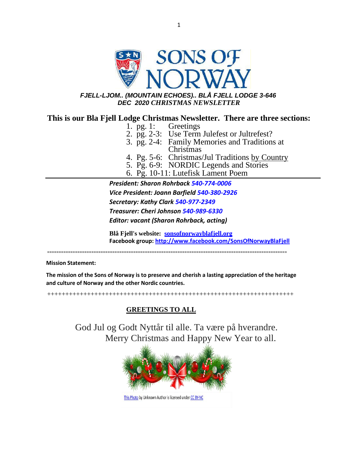

1

# *FJELL-LJOM.. (MOUNTAIN ECHOES).. BLÅ FJELL LODGE 3-646 DEC 2020 CHRISTMAS NEWSLETTER*

# **This is our Bla Fjell Lodge Christmas Newsletter. There are three sections:**

- 1. pg. 1: Greetings
- 2. pg. 2-3: Use Term Julefest or Jultrefest?
- 3. pg. 2-4: Family Memories and Traditions at Christmas
- 4. Pg. 5-6: Christmas/Jul Traditions by Country
- 5. Pg. 6-9: NORDIC Legends and Stories
- 6. Pg. 10-11: Lutefisk Lament Poem

*President: Sharon Rohrback 540-774-0006 Vice President: Joann Barfield 540-380-2926 Secretary: Kathy Clark 540-977-2349 Treasurer: Cheri Johnson 540-989-6330 Editor: vacant (Sharon Rohrback, acting)*

**Blå Fjell's website: [sonsofnorwayblafjell.org](http://222.sonsofnorwayblafjell.org/) Facebook group[: http://www.facebook.com/SonsOfNorwayBlaFjell](http://www.facebook.com/SonsOfNorwayBlaFjell)**

=======================================================================================================

**Mission Statement:**

**The mission of the Sons of Norway is to preserve and cherish a lasting appreciation of the heritage and culture of Norway and the other Nordic countries.**

++++++++++++++++++++++++++++++++++++++++++++++++++++++++++++++++++++

# **GREETINGS TO ALL**

God Jul og Godt Nyttår til alle. Ta være på hverandre. Merry Christmas and Happy New Year to all.

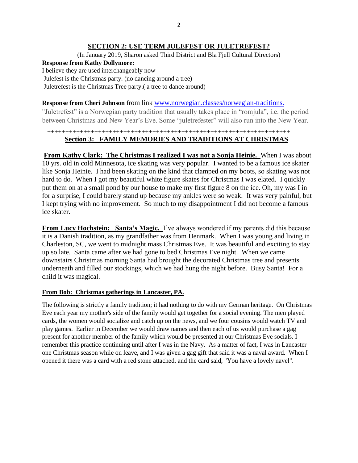#### **SECTION 2: USE TERM JULEFEST OR JULETREFEST?**

(In January 2019, Sharon asked Third District and Bla Fjell Cultural Directors)

# **Response from Kathy Dollymore:**

I believe they are used interchangeably now

Julefest is the Christmas party. (no dancing around a tree)

Juletrefest is the Christmas Tree party.( a tree to dance around)

# **Response from Cheri Johnson** from link [www.norwegian.classes/norwegian-traditions.](http://www.norwegian.classes/norwegian-traditions)

"Juletrefest" is a Norwegian party tradition that usually takes place in "romjula", i.e. the period between Christmas and New Year's Eve. Some "juletrefester" will also run into the New Year.

# +++++++++++++++++++++++++++++++++++++++++++++++++++++++++++++++++++ **Section 3: FAMILY MEMORIES AND TRADITIONS AT CHRISTMAS**

**From Kathy Clark: The Christmas I realized I was not a Sonja Heinie.** When I was about 10 yrs. old in cold Minnesota, ice skating was very popular. I wanted to be a famous ice skater like Sonja Heinie. I had been skating on the kind that clamped on my boots, so skating was not hard to do. When I got my beautiful white figure skates for Christmas I was elated. I quickly put them on at a small pond by our house to make my first figure 8 on the ice. Oh, my was I in for a surprise, I could barely stand up because my ankles were so weak. It was very painful, but I kept trying with no improvement. So much to my disappointment I did not become a famous ice skater.

**From Lucy Hochstein: Santa's Magic.** I've always wondered if my parents did this because it is a Danish tradition, as my grandfather was from Denmark. When I was young and living in Charleston, SC, we went to midnight mass Christmas Eve. It was beautiful and exciting to stay up so late. Santa came after we had gone to bed Christmas Eve night. When we came downstairs Christmas morning Santa had brought the decorated Christmas tree and presents underneath and filled our stockings, which we had hung the night before. Busy Santa! For a child it was magical.

# **From Bob: Christmas gatherings in Lancaster, PA.**

The following is strictly a family tradition; it had nothing to do with my German heritage. On Christmas Eve each year my mother's side of the family would get together for a social evening. The men played cards, the women would socialize and catch up on the news, and we four cousins would watch TV and play games. Earlier in December we would draw names and then each of us would purchase a gag present for another member of the family which would be presented at our Christmas Eve socials. I remember this practice continuing until after I was in the Navy. As a matter of fact, I was in Lancaster one Christmas season while on leave, and I was given a gag gift that said it was a naval award. When I opened it there was a card with a red stone attached, and the card said, "You have a lovely navel".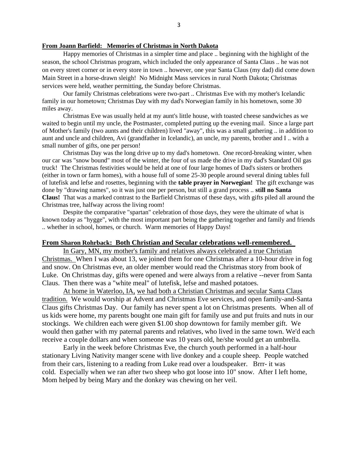#### **From Joann Barfield: Memories of Christmas in North Dakota**

Happy memories of Christmas in a simpler time and place .. beginning with the highlight of the season, the school Christmas program, which included the only appearance of Santa Claus .. he was not on every street corner or in every store in town .. however, one year Santa Claus (my dad) did come down Main Street in a horse-drawn sleigh! No Midnight Mass services in rural North Dakota; Christmas services were held, weather permitting, the Sunday before Christmas.

Our family Christmas celebrations were two-part .. Christmas Eve with my mother's Icelandic family in our hometown; Christmas Day with my dad's Norwegian family in his hometown, some 30 miles away.

Christmas Eve was usually held at my aunt's little house, with toasted cheese sandwiches as we waited to begin until my uncle, the Postmaster, completed putting up the evening mail. Since a large part of Mother's family (two aunts and their children) lived "away", this was a small gathering .. in addition to aunt and uncle and children, Avi (grandfather in Icelandic), an uncle, my parents, brother and I .. with a small number of gifts, one per person!

Christmas Day was the long drive up to my dad's hometown. One record-breaking winter, when our car was "snow bound" most of the winter, the four of us made the drive in my dad's Standard Oil gas truck! The Christmas festivities would be held at one of four large homes of Dad's sisters or brothers (either in town or farm homes), with a house full of some 25-30 people around several dining tables full of lutefisk and lefse and rosettes, beginning with the **table prayer in Norwegian!** The gift exchange was done by "drawing names", so it was just one per person, but still a grand process .. **still no Santa Claus!** That was a marked contrast to the Barfield Christmas of these days, with gifts piled all around the Christmas tree, halfway across the living room!

Despite the comparative "spartan" celebration of those days, they were the ultimate of what is known today as "hygge", with the most important part being the gathering together and family and friends .. whether in school, homes, or church. Warm memories of Happy Days!

#### **From Sharon Rohrback: Both Christian and Secular celebrations well-remembered.**

 In Gary, MN, my mother's family and relatives always celebrated a true Christian Christmas. When I was about 13, we joined them for one Christmas after a 10-hour drive in fog and snow. On Christmas eve, an older member would read the Christmas story from book of Luke. On Christmas day, gifts were opened and were always from a relative --never from Santa Claus. Then there was a "white meal" of lutefisk, lefse and mashed potatoes.

 At home in Waterloo, IA, we had both a Christian Christmas and secular Santa Claus tradition. We would worship at Advent and Christmas Eve services, and open family-and-Santa Claus gifts Christmas Day. Our family has never spent a lot on Christmas presents. When all of us kids were home, my parents bought one main gift for family use and put fruits and nuts in our stockings. We children each were given \$1.00 shop downtown for family member gift. We would then gather with my paternal parents and relatives, who lived in the same town. We'd each receive a couple dollars and when someone was 10 years old, he/she would get an umbrella.

 Early in the week before Christmas Eve, the church youth performed in a half-hour stationary Living Nativity manger scene with live donkey and a couple sheep. People watched from their cars, listening to a reading from Luke read over a loudspeaker. Brrr- it was cold. Especially when we ran after two sheep who got loose into 10" snow. After I left home, Mom helped by being Mary and the donkey was chewing on her veil.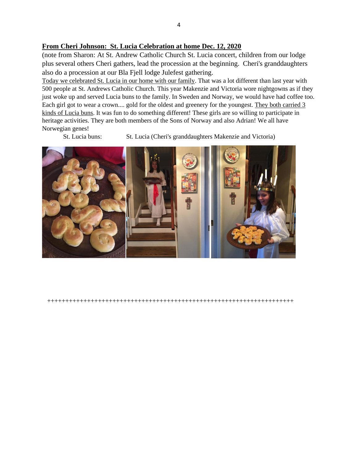# **From Cheri Johnson: St. Lucia Celebration at home Dec. 12, 2020**

(note from Sharon: At St. Andrew Catholic Church St. Lucia concert, children from our lodge plus several others Cheri gathers, lead the procession at the beginning. Cheri's granddaughters also do a procession at our Bla Fjell lodge Julefest gathering.

Today we celebrated St. Lucia in our home with our family. That was a lot different than last year with 500 people at St. Andrews Catholic Church. This year Makenzie and Victoria wore nightgowns as if they just woke up and served Lucia buns to the family. In Sweden and Norway, we would have had coffee too. Each girl got to wear a crown.... gold for the oldest and greenery for the youngest. They both carried 3 kinds of Lucia buns. It was fun to do something different! These girls are so willing to participate in heritage activities. They are both members of the Sons of Norway and also Adrian! We all have Norwegian genes!

St. Lucia buns: St. Lucia (Cheri's granddaughters Makenzie and Victoria)



++++++++++++++++++++++++++++++++++++++++++++++++++++++++++++++++++++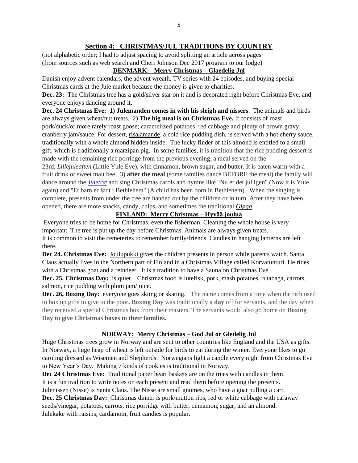# **Section 4: CHRISTMAS/JUL TRADITIONS BY COUNTRY**

(not alphabetic order; I had to adjust spacing to avoid splitting an article across pages (from sources such as web search and Cheri Johnson Dec 2017 program to our lodge)

# **DENMARK: Merry Christmas – Glaedelig Jul**

Danish enjoy advent calendars, the advent wreath, TV series with 24 episodes, and buying special Christmas cards at the Jule market because the money is given to charities.

**Dec. 23:** The Christmas tree has a gold/silver star on it and is decorated right before Christmas Eve, and everyone enjoys dancing around it.

**Dec. 24 Christmas Eve: 1) Julemanden comes in with his sleigh and nissers**. The animals and birds are always given wheat/nut treats. 2) **The big meal is on Christmas Eve.** It consists of roast pork/duck/or more rarely roast goose; caramelized potatoes, red cabbage and plenty of [brown gravy,](https://en.wikipedia.org/wiki/Brown_sauce_(meat_stock_based))  cranberry jam/sauce. For dessert, [risalamande,](https://en.wikipedia.org/wiki/Risalamande) a cold rice pudding dish, is served with a hot cherry sauce, traditionally with a whole almond hidden inside. The lucky finder of this almond is entitled to a small gift, which is traditionally a marzipan pig. In some families, it is tradition that the rice pudding dessert is made with the remaining rice porridge from the previous evening, a meal served on the

23rd, *Lillejuleaften* (Little Yule Eve), with cinnamon, brown sugar, and butter. It is eaten warm with a fruit drink or sweet malt bee. 3) **after the meal** (some families dance BEFORE the meal) the family will dance around the *[Juletræ](https://en.wikipedia.org/wiki/Christmas_tree)* and sing Christmas carols and hymns like "Nu er det jul igen" (Now it is Yule again) and "Et barn er født i Bethlehem" (A child has been born in Bethlehem). When the singing is complete, presents from under the tree are handed out by the children or in turn. After they have been opened, there are more snacks, candy, chips, and sometimes the traditional *[Gløgg](https://en.wikipedia.org/wiki/Gl%C3%B8gg)*.

# **FINLAND: Merry Christmas – Hyvää joulua**

Everyone tries to be home for Christmas, even the fisherman. Cleaning the whole house is very important. The tree is put up the day before Christmas. Animals are always given treats. It is common to visit the cemeteries to remember family/friends. Candles in hanging lanterns are left there.

**Dec 24. Christmas Eve:** Joulupukki gives the children presents in person while parents watch. Santa Claus actually lives in the Northern part of Finland in a Christmas Village called Korvatunturi. He rides with a Christmas goat and a reindeer. It is a tradition to have a Sauna on Christmas Eve.

**Dec. 25. Christmas Day:** is quiet. Christmas food is lutefisk, pork, mash potatoes, rutabaga, carrots, salmon, rice pudding with plum jam/juice.

**Dec. 26, Boxing Day:** everyone goes skiing or skating. The name comes from a time when the rich used to box up gifts to give to the poor**. Boxing Day** was traditionally a **day** off for servants, and the day when they received a special Christmas box from their masters. The servants would also go home on **Boxing Day to give Christmas boxes to their families.**

# **NORWAY: Merry Christmas – God Jul or Gledelig Jul**

Huge Christmas trees grow in Norway and are sent to other countries like England and the USA as gifts. In Norway, a huge heap of wheat is left outside for birds to eat during the winter. Everyone likes to go caroling dressed as Wisemen and Shepherds. Norwegians light a candle every night from Christmas Eve to New Year's Day. Making 7 kinds of cookies is traditional in Norway.

**Dec 24 Christmas Eve:** Traditional paper heart baskets are on the trees with candles in them. It is a fun tradition to write notes on each present and read them before opening the presents. Julenissen (Nisse) is Santa Claus. The Nisse are small gnomes, who have a goat pulling a cart.

**Dec. 25 Christmas Day:** Christmas dinner is pork/mutton ribs, red or white cabbage with caraway seeds/vinegar, potatoes, carrots, rice porridge with butter, cinnamon, sugar, and an almond. Julekake with raisins, cardamom, fruit candies is popular.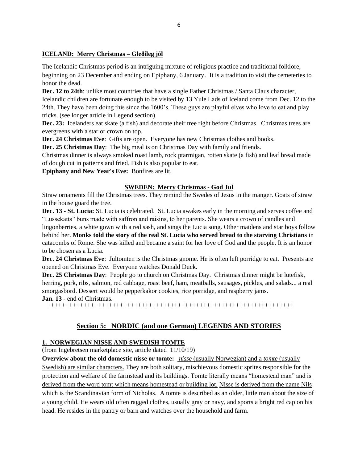#### **ICELAND: Merry Christmas – Gleðileg jól**

The Icelandic Christmas period is an intriguing mixture of religious practice and [traditional](http://www.grapevine.is/Features/ReadArticle/Slice-of-Icelandic-Christmas-Through-the-Ages) folklore, beginning on 23 December and ending on Epiphany, 6 January. It is a tradition to visit the cemeteries to honor the dead.

**Dec. 12 to 24th**: unlike most countries that have a single Father Christmas / Santa Claus character, Icelandic children are fortunate enough to be visited by 13 Yule Lads of Iceland come from Dec. 12 to the 24th. They have been doing this since the 1600's. These guys are playful elves who love to eat and play tricks. (see longer article in Legend section).

**Dec. 23:** Icelanders eat skate (a fish) and decorate their tree right before Christmas. Christmas trees are evergreens with a star or crown on top.

**Dec. 24 Christmas Eve**: Gifts are open. Everyone has new Christmas clothes and books.

**Dec. 25 Christmas Day**: The big meal is on Christmas Day with family and friends.

Christmas dinner is always smoked roast lamb, rock ptarmigan, rotten skate (a fish) and leaf bread made of dough cut in patterns and fried. Fish is also popular to eat.

**Epiphany and New Year's Eve:** Bonfires are lit.

#### **SWEDEN: Merry Christmas - God Jul**

Straw ornaments fill the Christmas trees. They remind the Swedes of Jesus in the manger. Goats of straw in the house guard the tree.

**Dec. 13 - St. Lucia:** St. Lucia is celebrated. St. Lucia awakes early in the morning and serves coffee and "Lussekatts" buns made with saffron and raisins, to her parents. She wears a crown of candles and

lingonberries, a white gown with a red sash, and sings the Lucia song. Other maidens and star boys follow behind her. **Monks told the story of the real St. Lucia who served bread to the starving Christians** in catacombs of Rome. She was killed and became a saint for her love of God and the people. It is an honor to be chosen as a Lucia.

**Dec. 24 Christmas Eve**: Jultomten is the Christmas gnome. He is often left porridge to eat. Presents are opened on Christmas Eve. Everyone watches Donald Duck.

**Dec. 25 Christmas Day**: People go to church on Christmas Day. Christmas dinner might be lutefisk, herring, pork, ribs, salmon, red cabbage, roast beef, ham, meatballs, sausages, pickles, and salads... a real smorgasbord. Dessert would be pepperkakor cookies, rice porridge, and raspberry jams.

**Jan. 13** - end of Christmas.

++++++++++++++++++++++++++++++++++++++++++++++++++++++++++++++++++++

# **Section 5: NORDIC (and one German) LEGENDS AND STORIES**

#### **1. NORWEGIAN NISSE AND SWEDISH TOMTE**

(from Ingebretsen marketplace site, article dated 11/10/19)

**Overview about the old domestic nisse or tomte:** *nisse* (usually Norwegian) and a *tomte* (usually Swedish) are similar characters. They are both solitary, mischievous domestic sprites responsible for the protection and welfare of the farmstead and its buildings. Tomte literally means "homestead man" and is derived from the word tomt which means homestead or building lot. Nisse is derived from the name Nils which is the Scandinavian form of Nicholas. A tomte is described as an older, little man about the size of a young child. He wears old often ragged clothes, usually gray or navy, and sports a bright red cap on his head. He resides in the pantry or barn and watches over the household and farm.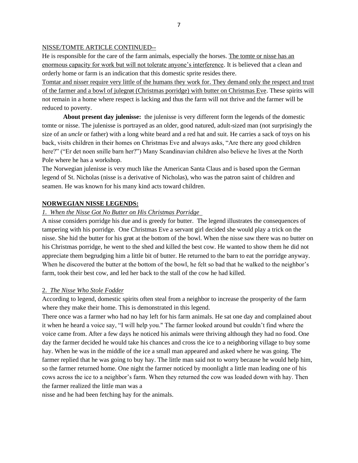#### NISSE/TOMTE ARTICLE CONTINUED--

He is responsible for the care of the farm animals, especially the horses. The tomte or nisse has an enormous capacity for work but will not tolerate anyone's interference. It is believed that a clean and orderly home or farm is an indication that this domestic sprite resides there.

Tomtar and nisser require very little of the humans they work for. They demand only the respect and trust of the farmer and a bowl of julegrøt (Christmas porridge) with butter on Christmas Eve. These spirits will not remain in a home where respect is lacking and thus the farm will not thrive and the farmer will be reduced to poverty.

**About present day julenisse:** the julenisse is very different form the legends of the domestic tomte or nisse. The julenisse is portrayed as an older, good natured, adult-sized man (not surprisingly the size of an *uncle* or father) with a long white beard and a red hat and suit. He carries a sack of toys on his back, visits children in their homes on Christmas Eve and always asks, "Are there any good children here?" ("Er det noen snille barn her?") Many Scandinavian children also believe he lives at the North Pole where he has a workshop.

The Norwegian julenisse is very much like the American Santa Claus and is based upon the German legend of St. Nicholas (nisse is a derivative of Nicholas), who was the patron saint of children and seamen. He was known for his many kind acts toward children.

#### **NORWEGIAN NISSE LEGENDS:**

#### *1. When the Nisse Got No Butter on His Christmas Porridge*

A nisse considers porridge his due and is greedy for butter. The legend illustrates the consequences of tampering with his porridge. One Christmas Eve a servant girl decided she would play a trick on the nisse. She hid the butter for his grøt at the bottom of the bowl. When the nisse saw there was no butter on his Christmas porridge, he went to the shed and killed the best cow. He wanted to show them he did not appreciate them begrudging him a little bit of butter. He returned to the barn to eat the porridge anyway. When he discovered the butter at the bottom of the bowl, he felt so bad that he walked to the neighbor's farm, took their best cow, and led her back to the stall of the cow he had killed.

#### 2. *The Nisse Who Stole Fodder*

According to legend, domestic spirits often steal from a neighbor to increase the prosperity of the farm where they make their home. This is demonstrated in this legend.

There once was a farmer who had no hay left for his farm animals. He sat one day and complained about it when he heard a voice say, "I will help you." The farmer looked around but couldn't find where the voice came from. After a few days he noticed his animals were thriving although they had no food. One day the farmer decided he would take his chances and cross the ice to a neighboring village to buy some hay. When he was in the middle of the ice a small man appeared and asked where he was going. The farmer replied that he was going to buy hay. The little man said not to worry because he would help him, so the farmer returned home. One night the farmer noticed by moonlight a little man leading one of his cows across the ice to a neighbor's farm. When they returned the cow was loaded down with hay. Then the farmer realized the little man was a

nisse and he had been fetching hay for the animals.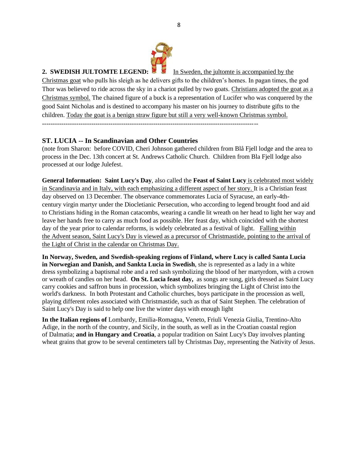

#### **2. SWEDISH JULTOMTE LEGEND:** In Sweden, the jultomte is accompanied by the

Christmas goat who pulls his sleigh as he delivers gifts to the children's homes. In pagan times, the god Thor was believed to ride across the sky in a chariot pulled by two goats. Christians adopted the goat as a Christmas symbol. The chained figure of a buck is a representation of Lucifer who was conquered by the good Saint Nicholas and is destined to accompany his master on his journey to distribute gifts to the children. Today the goat is a benign straw figure but still a very well-known Christmas symbol.

# **ST. LUCIA -- In Scandinavian and Other Countries**

(note from Sharon: before COVID, Cheri Johnson gathered children from Blå Fjell lodge and the area to process in the Dec. 13th concert at St. Andrews Catholic Church. Children from Bla Fjell lodge also processed at our lodge Julefest.

**General Information: Saint Lucy's Day**, also called the **Feast of Saint Lucy** is celebrated most widely in [Scandinavia](https://en.wikipedia.org/wiki/Scandinavia) and in [Italy,](https://en.wikipedia.org/wiki/Italy) with each emphasizing a different aspect of her story. It is a [Christian](https://en.wikipedia.org/wiki/Christianity) [feast](https://en.wikipedia.org/wiki/Calendar_of_saints)  [day](https://en.wikipedia.org/wiki/Calendar_of_saints) observed on 13 December. The observance commemorates [Lucia of Syracuse,](https://en.wikipedia.org/wiki/Saint_Lucy) an early-4thcentury [virgin martyr](https://en.wikipedia.org/wiki/Virgin_martyr) under the Diocletianic Persecution, who according to legend brought food and aid to Christians hiding in the [Roman catacombs,](https://en.wikipedia.org/wiki/Catacombs_of_Rome) wearing a candle lit wreath on her head to light her way and leave her hands free to carry as much food as possible. Her feast day, which coincided with the [shortest](https://en.wikipedia.org/wiki/Winter_solstice)  [day of the year](https://en.wikipedia.org/wiki/Winter_solstice) prior to calendar reforms, is widely celebrated as a festival of light. Falling within the [Advent season,](https://en.wikipedia.org/wiki/Advent) Saint Lucy's Day is viewed as a precursor of [Christmastide,](https://en.wikipedia.org/wiki/Christmastide) pointing to the arrival of the [Light of Christ](https://en.wikipedia.org/wiki/Light_of_Christ) in the [calendar](https://en.wikipedia.org/wiki/Liturgical_year) on [Christmas Day.](https://en.wikipedia.org/wiki/Christmas)

**In Norway, Sweden, and Swedish-speaking regions of Finland, where Lucy is called Santa Lucia in [Norwegian](https://en.wikipedia.org/wiki/Norwegian_language) and [Danish,](https://en.wikipedia.org/wiki/Danish_language) and Sankta Lucia in [Swedish](https://en.wikipedia.org/wiki/Swedish_language)**, she is represented as a lady in a white dress [symbolizing](https://en.wikipedia.org/wiki/Christian_symbolism) a [baptismal robe](https://en.wikipedia.org/wiki/Baptismal_clothing) and a red sash symbolizing the blood of her [martyrdom,](https://en.wikipedia.org/wiki/Christian_martyrs) with a crown or wreath of candles on her head. **On St. Lucia feast day,** as songs are sung, girls dressed as Saint Lucy carry cookies and [saffron buns](https://en.wikipedia.org/wiki/Saffron_bun) in [procession,](https://en.wikipedia.org/wiki/Procession#Christian) which symbolizes bringing the [Light of](https://en.wikipedia.org/wiki/Light_of_Christ) Christ into the world's darkness. In both Protestant and Catholic churches, boys participate in the procession as well, playing different roles associated with Christmastide, such as that of [Saint Stephen.](https://en.wikipedia.org/wiki/Saint_Stephen%27s_Day) The celebration of Saint Lucy's Day is said to help one live the winter days with enough light

**In the Italian regions of** [Lombardy,](https://en.wikipedia.org/wiki/Lombardy) [Emilia-Romagna,](https://en.wikipedia.org/wiki/Emilia-Romagna) [Veneto,](https://en.wikipedia.org/wiki/Veneto) [Friuli Venezia Giulia,](https://en.wikipedia.org/wiki/Friuli_Venezia_Giulia) [Trentino-Alto](https://en.wikipedia.org/wiki/Trentino-Alto_Adige/S%C3%BCdtirol)  [Adige,](https://en.wikipedia.org/wiki/Trentino-Alto_Adige/S%C3%BCdtirol) in the north of the country, and [Sicily,](https://en.wikipedia.org/wiki/Sicily) in the south, as well as in the Croatian coastal region of [Dalmatia;](https://en.wikipedia.org/wiki/Dalmatia) **and in Hungary and Croatia**, a popular tradition on Saint Lucy's Day involves planting wheat grains that grow to be several centimeters tall by Christmas Day, representing the [Nativity of Jesus.](https://en.wikipedia.org/wiki/Nativity_of_Jesus)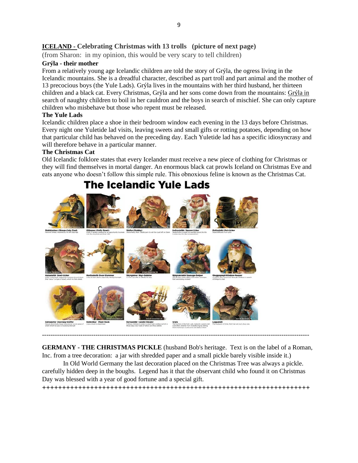# **ICELAND - Celebrating Christmas with 13 trolls (picture of next page)**

(from Sharon: in my opinion, this would be very scary to tell children)

#### **Grýla - their mother**

From a relatively young age Icelandic children are told the story of [Grýla,](http://jol.ismennt.is/english/gryla-terry-gunnell.htm) the ogress living in the Icelandic mountains. She is a dreadful character, described as part troll and part animal and the mother of 13 precocious boys (the Yule Lads). Grýla lives in the mountains with her third husband, her thirteen children and a black cat. Every Christmas, Grýla and her sons come down from the mountains: Grýla in search of naughty children to boil in her cauldron and the boys in search of mischief. She can only capture children who misbehave but those who repent must be released.

#### **The Yule Lads**

Icelandic children place a shoe in their bedroom window each evening in the 13 days before Christmas. Every night one [Yuletide](http://en.wikipedia.org/wiki/Yule_Lads) lad visits, leaving sweets and small gifts or rotting potatoes, depending on how that particular child has behaved on the preceding day. Each [Yuletide](http://grapevine.is/Features/ReadArticle/The-Yuletide-Lads-Rise-To-Christmas-Stardom) lad has a specific idiosyncrasy and will therefore behave in a particular manner.

#### **The Christmas Cat**

Old Icelandic folklore states that every Icelander must receive a new piece of clothing for Christmas or they will find themselves in mortal danger. An enormous black cat prowls Iceland on [Christmas](http://www.grapevine.is/Author/ReadArticle/the-christmas-cat) Eve and eats anyone who doesn't follow this simple rule. This obnoxious feline is known as the Christmas Cat.

# **The Icelandic Yule Lads**



**GERMANY - THE CHRISTMAS PICKLE** (husband Bob's heritage. Text is on the label of a Roman, Inc. from a tree decoration: a jar with shredded paper and a small pickle barely visible inside it.)

-----------------------------------------------------------------------------------------------------------------------------

In Old World Germany the last decoration placed on the Christmas Tree was always a pickle. carefully hidden deep in the boughs. Legend has it that the observant child who found it on Christmas Day was blessed with a year of good fortune and a special gift.

**+++++++++++++++++++++++++++++++++++++++++++++++++++++++++++++++++++**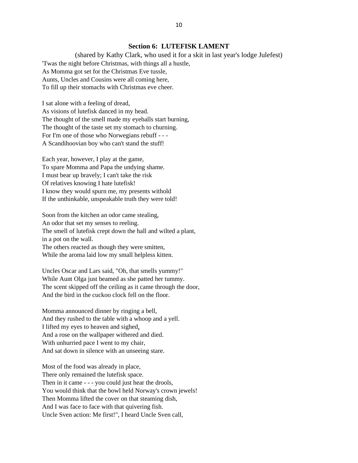#### **Section 6: LUTEFISK LAMENT**

(shared by Kathy Clark, who used it for a skit in last year's lodge Julefest) 'Twas the night before Christmas, with things all a hustle, As Momma got set for the Christmas Eve tussle, Aunts, Uncles and Cousins were all coming here, To fill up their stomachs with Christmas eve cheer.

I sat alone with a feeling of dread, As visions of lutefisk danced in my head. The thought of the smell made my eyeballs start burning, The thought of the taste set my stomach to churning. For I'm one of those who Norwegians rebuff - - - A Scandihoovian boy who can't stand the stuff!

Each year, however, I play at the game, To spare Momma and Papa the undying shame. I must bear up bravely; I can't take the risk Of relatives knowing I hate lutefisk! I know they would spurn me, my presents withold If the unthinkable, unspeakable truth they were told!

Soon from the kitchen an odor came stealing, An odor that set my senses to reeling. The smell of lutefisk crept down the hall and wilted a plant, in a pot on the wall. The others reacted as though they were smitten, While the aroma laid low my small helpless kitten.

Uncles Oscar and Lars said, "Oh, that smells yummy!" While Aunt Olga just beamed as she patted her tummy. The scent skipped off the ceiling as it came through the door, And the bird in the cuckoo clock fell on the floor.

Momma announced dinner by ringing a bell, And they rushed to the table with a whoop and a yell. I lifted my eyes to heaven and sighed, And a rose on the wallpaper withered and died. With unhurried pace I went to my chair, And sat down in silence with an unseeing stare.

Most of the food was already in place, There only remained the lutefisk space. Then in it came - - - you could just hear the drools, You would think that the bowl held Norway's crown jewels! Then Momma lifted the cover on that steaming dish, And I was face to face with that quivering fish. Uncle Sven action: Me first!", I heard Uncle Sven call,